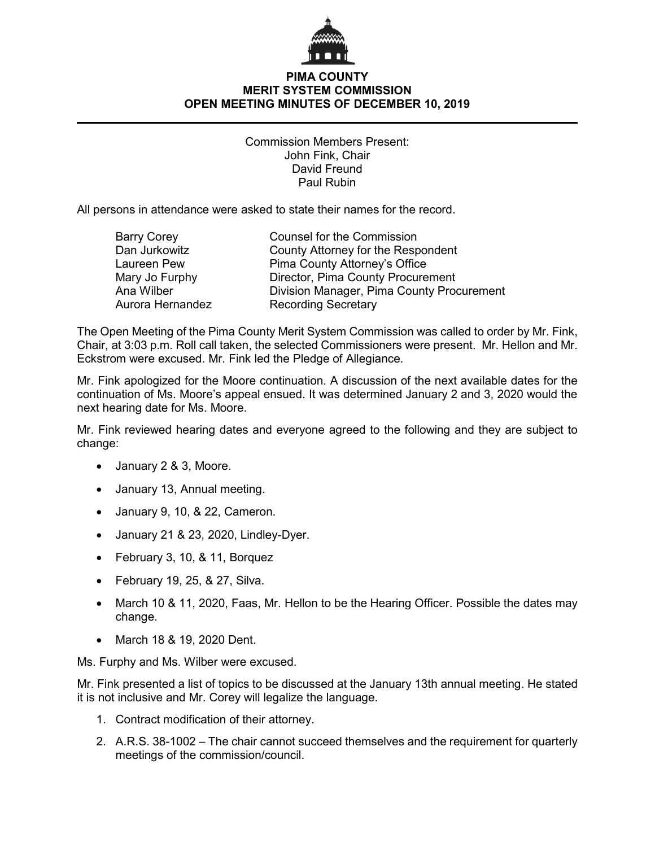

## **PIMA COUNTY MERIT SYSTEM COMMISSION OPEN MEETING MINUTES OF DECEMBER 10, 2019**

Commission Members Present: John Fink, Chair David Freund Paul Rubin

All persons in attendance were asked to state their names for the record.

| <b>Barry Corey</b> | <b>Counsel for the Commission</b>         |
|--------------------|-------------------------------------------|
| Dan Jurkowitz      | County Attorney for the Respondent        |
| Laureen Pew        | Pima County Attorney's Office             |
| Mary Jo Furphy     | Director, Pima County Procurement         |
| Ana Wilber         | Division Manager, Pima County Procurement |
| Aurora Hernandez   | <b>Recording Secretary</b>                |

The Open Meeting of the Pima County Merit System Commission was called to order by Mr. Fink, Chair, at 3:03 p.m. Roll call taken, the selected Commissioners were present. Mr. Hellon and Mr. Eckstrom were excused. Mr. Fink led the Pledge of Allegiance.

Mr. Fink apologized for the Moore continuation. A discussion of the next available dates for the continuation of Ms. Moore's appeal ensued. It was determined January 2 and 3, 2020 would the next hearing date for Ms. Moore.

Mr. Fink reviewed hearing dates and everyone agreed to the following and they are subject to change:

- January 2 & 3, Moore.
- January 13, Annual meeting.
- January 9, 10, & 22, Cameron.
- January 21 & 23, 2020, Lindley-Dyer.
- February 3, 10, & 11, Borquez
- February 19, 25, & 27, Silva.
- March 10 & 11, 2020, Faas, Mr. Hellon to be the Hearing Officer. Possible the dates may change.
- March 18 & 19, 2020 Dent.

Ms. Furphy and Ms. Wilber were excused.

Mr. Fink presented a list of topics to be discussed at the January 13th annual meeting. He stated it is not inclusive and Mr. Corey will legalize the language.

- 1. Contract modification of their attorney.
- 2. A.R.S. 38-1002 The chair cannot succeed themselves and the requirement for quarterly meetings of the commission/council.